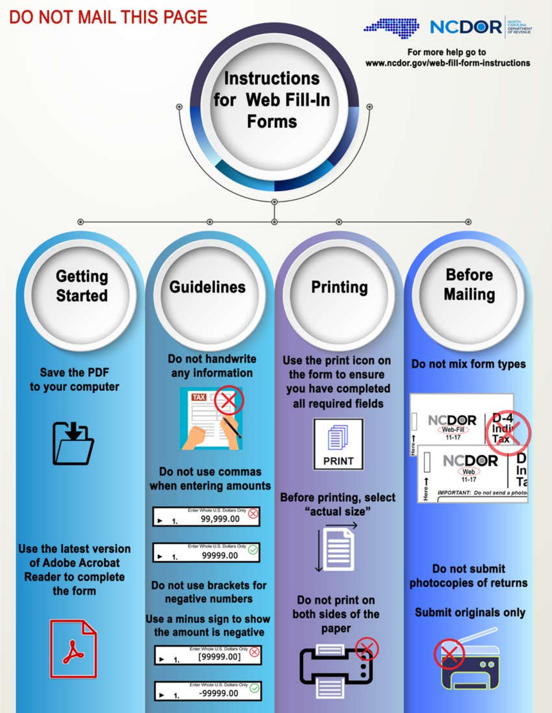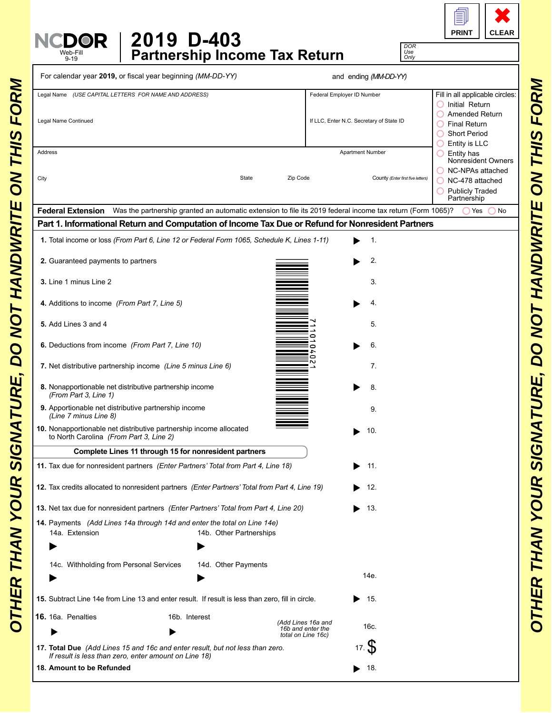| <b>PRINT</b> | <b>CLEAR</b> |
|--------------|--------------|

*DOR Use Only*

| 2019 D-403                           |
|--------------------------------------|
| <b>Partnership Income Tax Return</b> |

Web-Fill 9-19

| Legal Name (USE CAPITAL LETTERS FOR NAME AND ADDRESS)                                                                                                                                            | Fill in all applicable circles:<br>Federal Employer ID Number<br>$\bigcirc$ Initial Return                                      |
|--------------------------------------------------------------------------------------------------------------------------------------------------------------------------------------------------|---------------------------------------------------------------------------------------------------------------------------------|
| Legal Name Continued                                                                                                                                                                             | O Amended Return<br>If LLC, Enter N.C. Secretary of State ID<br>$\bigcirc$ Final Return<br><b>Short Period</b><br>Entity is LLC |
| Address                                                                                                                                                                                          | Apartment Number<br>$\bigcirc$ Entity has<br>Nonresident Owners<br>NC-NPAs attached                                             |
| Zip Code<br>City<br>State                                                                                                                                                                        | County (Enter first five letters)<br>NC-478 attached<br>O Publicly Traded<br>Partnership                                        |
| Federal Extension Was the partnership granted an automatic extension to file its 2019 federal income tax return (Form 1065)?                                                                     | ◯ Yes<br>No                                                                                                                     |
| Part 1. Informational Return and Computation of Income Tax Due or Refund for Nonresident Partners<br>1. Total income or loss (From Part 6, Line 12 or Federal Form 1065, Schedule K, Lines 1-11) | $\mathbf{1}$ .                                                                                                                  |
|                                                                                                                                                                                                  |                                                                                                                                 |
| 2. Guaranteed payments to partners                                                                                                                                                               | 2.                                                                                                                              |
| 3. Line 1 minus Line 2                                                                                                                                                                           | 3.                                                                                                                              |
| 4. Additions to income (From Part 7, Line 5)                                                                                                                                                     | 4.                                                                                                                              |
| 5. Add Lines 3 and 4<br>0                                                                                                                                                                        | 5.                                                                                                                              |
| 6. Deductions from income (From Part 7, Line 10)<br>0                                                                                                                                            | 6.                                                                                                                              |
| ⊂<br>7. Net distributive partnership income (Line 5 minus Line 6)                                                                                                                                | 7.                                                                                                                              |
| 8. Nonapportionable net distributive partnership income<br>(From Part 3, Line 1)                                                                                                                 | 8.                                                                                                                              |
| 9. Apportionable net distributive partnership income<br>(Line 7 minus Line 8)                                                                                                                    | 9.                                                                                                                              |
| 10. Nonapportionable net distributive partnership income allocated<br>to North Carolina (From Part 3, Line 2)                                                                                    | 10.                                                                                                                             |
| Complete Lines 11 through 15 for nonresident partners                                                                                                                                            |                                                                                                                                 |
| 11. Tax due for nonresident partners (Enter Partners' Total from Part 4, Line 18)                                                                                                                | 11.                                                                                                                             |
| 12. Tax credits allocated to nonresident partners (Enter Partners' Total from Part 4, Line 19)                                                                                                   | 12.                                                                                                                             |
| 13. Net tax due for nonresident partners (Enter Partners' Total from Part 4, Line 20)                                                                                                            | 13.                                                                                                                             |
| 14. Payments (Add Lines 14a through 14d and enter the total on Line 14e)<br>14a. Extension<br>14b. Other Partnerships                                                                            |                                                                                                                                 |
|                                                                                                                                                                                                  |                                                                                                                                 |
| 14c. Withholding from Personal Services<br>14d. Other Payments                                                                                                                                   |                                                                                                                                 |
|                                                                                                                                                                                                  | 14e.                                                                                                                            |
| 15. Subtract Line 14e from Line 13 and enter result. If result is less than zero, fill in circle.                                                                                                | - 15.                                                                                                                           |
| 16. 16a. Penalties<br>16b. Interest<br>(Add Lines 16a and<br>16b and enter the                                                                                                                   | 16c.                                                                                                                            |
| total on Line 16c)<br>17. Total Due (Add Lines 15 and 16c and enter result, but not less than zero.                                                                                              | 17. S                                                                                                                           |
| If result is less than zero, enter amount on Line 18)                                                                                                                                            | 18.                                                                                                                             |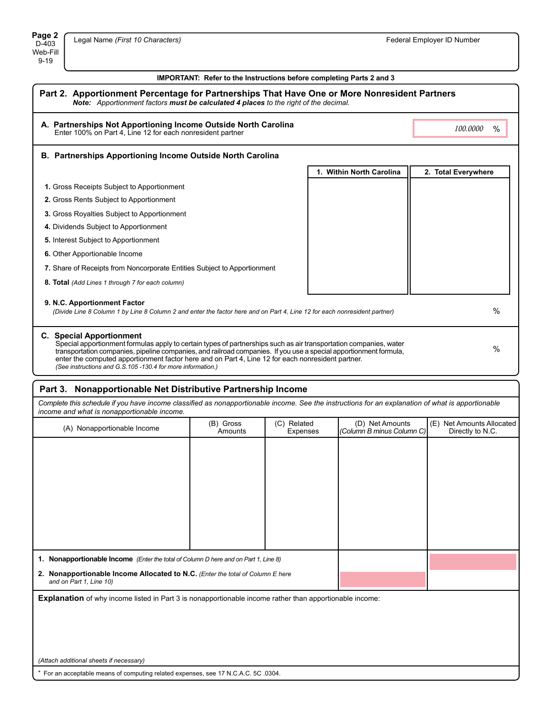## **IMPORTANT: Refer to the Instructions before completing Parts 2 and 3**

| Part 2. Apportionment Percentage for Partnerships That Have One or More Nonresident Partners<br>Note: Apportionment factors must be calculated 4 places to the right of the decimal.                                                                                                                                                                                                                                                                 |                          |                     |  |
|------------------------------------------------------------------------------------------------------------------------------------------------------------------------------------------------------------------------------------------------------------------------------------------------------------------------------------------------------------------------------------------------------------------------------------------------------|--------------------------|---------------------|--|
| A. Partnerships Not Apportioning Income Outside North Carolina<br>Enter 100% on Part 4, Line 12 for each nonresident partner                                                                                                                                                                                                                                                                                                                         |                          | 100,0000<br>$\%$    |  |
| <b>B. Partnerships Apportioning Income Outside North Carolina</b>                                                                                                                                                                                                                                                                                                                                                                                    |                          |                     |  |
|                                                                                                                                                                                                                                                                                                                                                                                                                                                      | 1. Within North Carolina | 2. Total Everywhere |  |
| 1. Gross Receipts Subject to Apportionment                                                                                                                                                                                                                                                                                                                                                                                                           |                          |                     |  |
| 2. Gross Rents Subject to Apportionment                                                                                                                                                                                                                                                                                                                                                                                                              |                          |                     |  |
| 3. Gross Royalties Subject to Apportionment                                                                                                                                                                                                                                                                                                                                                                                                          |                          |                     |  |
| 4. Dividends Subject to Apportionment                                                                                                                                                                                                                                                                                                                                                                                                                |                          |                     |  |
| <b>5.</b> Interest Subject to Apportionment                                                                                                                                                                                                                                                                                                                                                                                                          |                          |                     |  |
| 6. Other Apportionable Income                                                                                                                                                                                                                                                                                                                                                                                                                        |                          |                     |  |
| 7. Share of Receipts from Noncorporate Entities Subject to Apportionment                                                                                                                                                                                                                                                                                                                                                                             |                          |                     |  |
| 8. Total (Add Lines 1 through 7 for each column)                                                                                                                                                                                                                                                                                                                                                                                                     |                          |                     |  |
| 9. N.C. Apportionment Factor<br>(Divide Line 8 Column 1 by Line 8 Column 2 and enter the factor here and on Part 4, Line 12 for each nonresident partner)                                                                                                                                                                                                                                                                                            | $\frac{0}{0}$            |                     |  |
| <b>C.</b> Special Apportionment<br>Special apportionment formulas apply to certain types of partnerships such as air transportation companies, water<br>$\%$<br>transportation companies, pipeline companies, and railroad companies. If you use a special apportionment formula,<br>enter the computed apportionment factor here and on Part 4, Line 12 for each nonresident partner.<br>(See instructions and G.S.105-130.4 for more information.) |                          |                     |  |

## **Part 3. Nonapportionable Net Distributive Partnership Income**

*Complete this schedule if you have income classified as nonapportionable income. See the instructions for an explanation of what is apportionable income and what is nonapportionable income.*

| moomo ana mnat io nonapportionasio moomo.                                                                 |                      |                         |                                              |                                               |
|-----------------------------------------------------------------------------------------------------------|----------------------|-------------------------|----------------------------------------------|-----------------------------------------------|
| (A) Nonapportionable Income                                                                               | (B) Gross<br>Amounts | (C) Related<br>Expenses | (D) Net Amounts<br>(Column B minus Column C) | (E) Net Amounts Allocated<br>Directly to N.C. |
|                                                                                                           |                      |                         |                                              |                                               |
|                                                                                                           |                      |                         |                                              |                                               |
|                                                                                                           |                      |                         |                                              |                                               |
|                                                                                                           |                      |                         |                                              |                                               |
|                                                                                                           |                      |                         |                                              |                                               |
|                                                                                                           |                      |                         |                                              |                                               |
|                                                                                                           |                      |                         |                                              |                                               |
|                                                                                                           |                      |                         |                                              |                                               |
| 1. Nonapportionable Income (Enter the total of Column D here and on Part 1, Line 8)                       |                      |                         |                                              |                                               |
| 2. Nonapportionable Income Allocated to N.C. (Enter the total of Column E here<br>and on Part 1, Line 10) |                      |                         |                                              |                                               |
| Explanation of why income listed in Part 3 is nonapportionable income rather than apportionable income:   |                      |                         |                                              |                                               |
|                                                                                                           |                      |                         |                                              |                                               |
|                                                                                                           |                      |                         |                                              |                                               |
|                                                                                                           |                      |                         |                                              |                                               |
|                                                                                                           |                      |                         |                                              |                                               |

*(Attach additional sheets if necessary)*

\* For an acceptable means of computing related expenses, see 17 N.C.A.C. 5C .0304.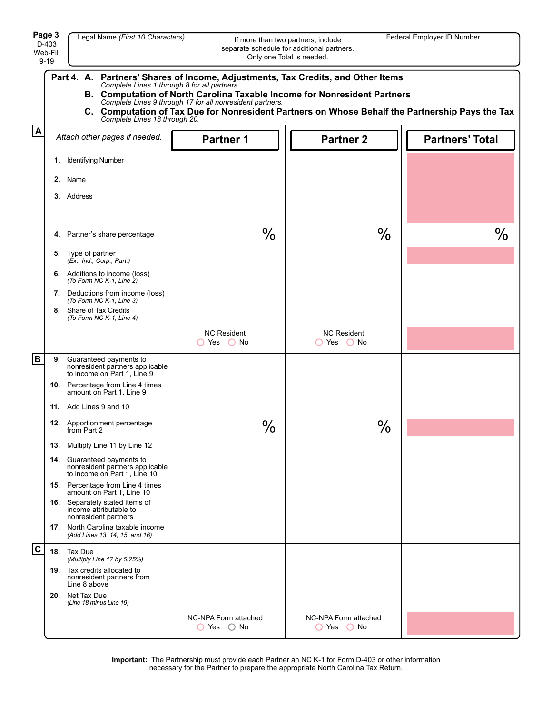|                         | Page 3<br>Legal Name (First 10 Characters)<br>Federal Employer ID Number<br>If more than two partners, include<br>D-403<br>separate schedule for additional partners.<br>Web-Fill<br>Only one Total is needed.<br>$9 - 19$                                                                                                                                                                                       |                                                                                               |                                        |                                    |                        |
|-------------------------|------------------------------------------------------------------------------------------------------------------------------------------------------------------------------------------------------------------------------------------------------------------------------------------------------------------------------------------------------------------------------------------------------------------|-----------------------------------------------------------------------------------------------|----------------------------------------|------------------------------------|------------------------|
|                         | Partners' Shares of Income, Adjustments, Tax Credits, and Other Items<br>Part 4. A.<br>Complete Lines 1 through 8 for all partners.<br>B. Computation of North Carolina Taxable Income for Nonresident Partners<br>Complete Lines 9 through 17 for all nonresident partners.<br>C. Computation of Tax Due for Nonresident Partners on Whose Behalf the Partnership Pays the Tax<br>Complete Lines 18 through 20. |                                                                                               |                                        |                                    |                        |
| $\overline{\mathbf{A}}$ |                                                                                                                                                                                                                                                                                                                                                                                                                  | Attach other pages if needed.                                                                 | <b>Partner 1</b>                       | <b>Partner 2</b>                   | <b>Partners' Total</b> |
|                         | 1.                                                                                                                                                                                                                                                                                                                                                                                                               | <b>Identifying Number</b>                                                                     |                                        |                                    |                        |
|                         |                                                                                                                                                                                                                                                                                                                                                                                                                  | 2. Name                                                                                       |                                        |                                    |                        |
|                         |                                                                                                                                                                                                                                                                                                                                                                                                                  | 3. Address                                                                                    |                                        |                                    |                        |
|                         |                                                                                                                                                                                                                                                                                                                                                                                                                  | 4. Partner's share percentage                                                                 | $\%$                                   | $\frac{0}{0}$                      | $\%$                   |
|                         |                                                                                                                                                                                                                                                                                                                                                                                                                  | 5. Type of partner<br>(Ex: Ind., Corp., Part.)                                                |                                        |                                    |                        |
|                         |                                                                                                                                                                                                                                                                                                                                                                                                                  | <b>6.</b> Additions to income (loss)<br>(To Form NC K-1, Line $\hat{Z}$ )                     |                                        |                                    |                        |
|                         |                                                                                                                                                                                                                                                                                                                                                                                                                  | 7. Deductions from income (loss)<br>(To Form NC K-1, Line 3)                                  |                                        |                                    |                        |
|                         |                                                                                                                                                                                                                                                                                                                                                                                                                  | 8. Share of Tax Credits<br>(To Form NC K-1, Line 4)                                           |                                        |                                    |                        |
|                         |                                                                                                                                                                                                                                                                                                                                                                                                                  |                                                                                               | <b>NC Resident</b><br>$O$ Yes $O$ No   | <b>NC Resident</b><br>◯ Yes ◯ No   |                        |
| B                       | 9.                                                                                                                                                                                                                                                                                                                                                                                                               | Guaranteed payments to<br>nonresident partners applicable<br>to income on Part 1, Line 9      |                                        |                                    |                        |
|                         |                                                                                                                                                                                                                                                                                                                                                                                                                  | 10. Percentage from Line 4 times<br>amount on Part 1, Line 9                                  |                                        |                                    |                        |
|                         |                                                                                                                                                                                                                                                                                                                                                                                                                  | 11. Add Lines 9 and 10                                                                        |                                        |                                    |                        |
|                         |                                                                                                                                                                                                                                                                                                                                                                                                                  | 12. Apportionment percentage<br>from Part 2                                                   | $\%$                                   | $\%$                               |                        |
|                         |                                                                                                                                                                                                                                                                                                                                                                                                                  | 13. Multiply Line 11 by Line 12                                                               |                                        |                                    |                        |
|                         |                                                                                                                                                                                                                                                                                                                                                                                                                  | 14. Guaranteed payments to<br>nonresident partners applicable<br>to income on Part 1, Line 10 |                                        |                                    |                        |
|                         |                                                                                                                                                                                                                                                                                                                                                                                                                  | <b>15.</b> Percentage from Line 4 times<br>amount on Part 1, Line 10                          |                                        |                                    |                        |
|                         |                                                                                                                                                                                                                                                                                                                                                                                                                  | 16. Separately stated items of<br>income attributable to<br>nonresident partners              |                                        |                                    |                        |
|                         |                                                                                                                                                                                                                                                                                                                                                                                                                  | 17. North Carolina taxable income<br>(Add Lines 13, 14, 15, and 16)                           |                                        |                                    |                        |
| $\mathbf c$             |                                                                                                                                                                                                                                                                                                                                                                                                                  | 18. Tax Due<br>(Multiply Line 17 by 5.25%)                                                    |                                        |                                    |                        |
|                         |                                                                                                                                                                                                                                                                                                                                                                                                                  | 19. Tax credits allocated to<br>nonresident partners from<br>Line 8 above                     |                                        |                                    |                        |
|                         |                                                                                                                                                                                                                                                                                                                                                                                                                  | 20. Net Tax Due<br>(Line 18 minus Line 19)                                                    |                                        |                                    |                        |
|                         |                                                                                                                                                                                                                                                                                                                                                                                                                  |                                                                                               | NC-NPA Form attached<br>$O$ Yes $O$ No | NC-NPA Form attached<br>○ Yes ○ No |                        |

**Important:** The Partnership must provide each Partner an NC K-1 for Form D-403 or other information necessary for the Partner to prepare the appropriate North Carolina Tax Return.